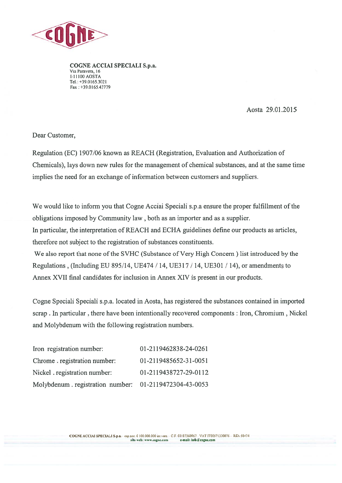

COGNE ACCIAI SPECIALI S.p.a. Via Paravera, 16 1-11100 AOSTA Tel.: +39.0165.3021 Fax : +39.0165.43779

## Aosta 29.01.2015

Dear Customer,

Regulation (EC) 1907/06 known as REACH (Registration, Evaluation and Authorization of Chemicals), lays down new rules for the managemen<sup>t</sup> of chemical substances, and at the same time implies the need for an exchange of information between customers and suppliers.

We would like to inform you that Cogne Acciai Speciali s.p.a ensure the proper fulfillment of the obligations imposed by Community law , both as an importer and as <sup>a</sup> supplier.

In particular, the interpretation of REACH and ECHA guidelines define our products as articles, therefore not subject to the registration of substances constituents.

We also repor<sup>t</sup> that none of the SVHC (Substance of Very High Concern) list introduced by the Regulations , (Including EU 895/14, UE474 / 14, UE317 / 14, UE3O1 / 14), or amendments to Annex XVII final candidates for inclusion in Annex XIV is presen<sup>t</sup> in our products.

Cogne Speciali Speciali s.p.a. located in Aosta, has registered the substances contained in imported scrap . In particular, there have been intentionally recovered components : Iron, Chromium , Nickel and Molybdenum with the following registration numbers.

| Iron registration number:                             | 01-2119462838-24-0261 |
|-------------------------------------------------------|-----------------------|
| Chrome registration number:                           | 01-2119485652-31-0051 |
| Nickel registration number:                           | 01-2119438727-29-0112 |
| Molybdenum.registration number: 01-2119472304-43-0053 |                       |